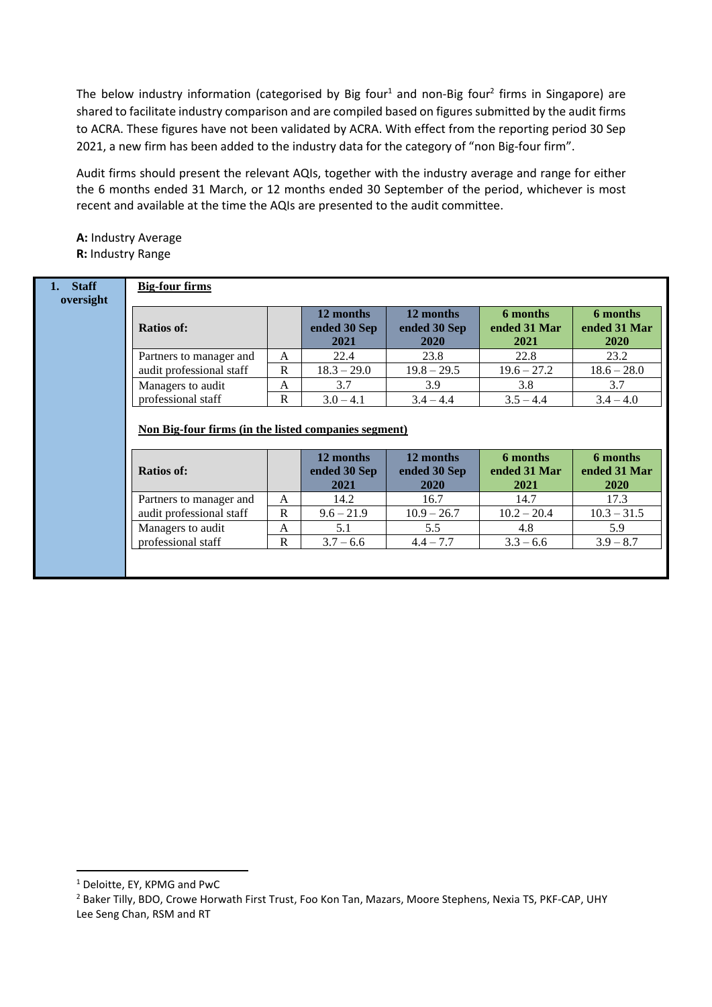The below industry information (categorised by Big four<sup>1</sup> and non-Big four<sup>2</sup> firms in Singapore) are shared to facilitate industry comparison and are compiled based on figures submitted by the audit firms to ACRA. These figures have not been validated by ACRA. With effect from the reporting period 30 Sep 2021, a new firm has been added to the industry data for the category of "non Big-four firm".

Audit firms should present the relevant AQIs, together with the industry average and range for either the 6 months ended 31 March, or 12 months ended 30 September of the period, whichever is most recent and available at the time the AQIs are presented to the audit committee.

**A:** Industry Average **R:** Industry Range

| <b>Staff</b> | <b>Big-four firms</b>                                                     |                  |                                   |                                   |                                  |                                         |  |
|--------------|---------------------------------------------------------------------------|------------------|-----------------------------------|-----------------------------------|----------------------------------|-----------------------------------------|--|
| oversight    | <b>Ratios of:</b>                                                         |                  | 12 months<br>ended 30 Sep<br>2021 | 12 months<br>ended 30 Sep<br>2020 | 6 months<br>ended 31 Mar<br>2021 | 6 months<br>ended 31 Mar<br><b>2020</b> |  |
|              | Partners to manager and                                                   | A                | 22.4                              | 23.8                              | 22.8                             | 23.2                                    |  |
|              | audit professional staff                                                  | R                | $18.3 - 29.0$                     | $19.8 - 29.5$                     | $19.6 - 27.2$                    | $18.6 - 28.0$                           |  |
|              | Managers to audit                                                         | A                | 3.7                               | 3.9                               | 3.8                              | 3.7                                     |  |
|              | professional staff                                                        | $\mathbf{R}$     | $3.0 - 4.1$                       | $3.4 - 4.4$                       | $3.5 - 4.4$                      | $3.4 - 4.0$                             |  |
|              | Non Big-four firms (in the listed companies segment)<br><b>Ratios of:</b> |                  | 12 months<br>ended 30 Sep<br>2021 | 12 months<br>ended 30 Sep         | 6 months<br>ended 31 Mar         | 6 months<br>ended 31 Mar                |  |
|              |                                                                           |                  |                                   | 2020                              | 2021                             | <b>2020</b>                             |  |
|              | Partners to manager and                                                   | A<br>$\mathbf R$ | 14.2                              | 16.7                              | 14.7<br>$10.2 - 20.4$            | 17.3                                    |  |
|              | audit professional staff                                                  |                  | $9.6 - 21.9$                      | $10.9 - 26.7$                     |                                  | $10.3 - 31.5$                           |  |
|              | Managers to audit                                                         | A                | 5.1                               | 5.5                               | 4.8                              | 5.9                                     |  |
|              | professional staff                                                        | R                | $3.7 - 6.6$                       | $4.4 - 7.7$                       | $3.3 - 6.6$                      | $3.9 - 8.7$                             |  |
|              |                                                                           |                  |                                   |                                   |                                  |                                         |  |

<sup>1</sup> Deloitte, EY, KPMG and PwC

<sup>&</sup>lt;sup>2</sup> Baker Tilly, BDO, Crowe Horwath First Trust, Foo Kon Tan, Mazars, Moore Stephens, Nexia TS, PKF-CAP, UHY Lee Seng Chan, RSM and RT